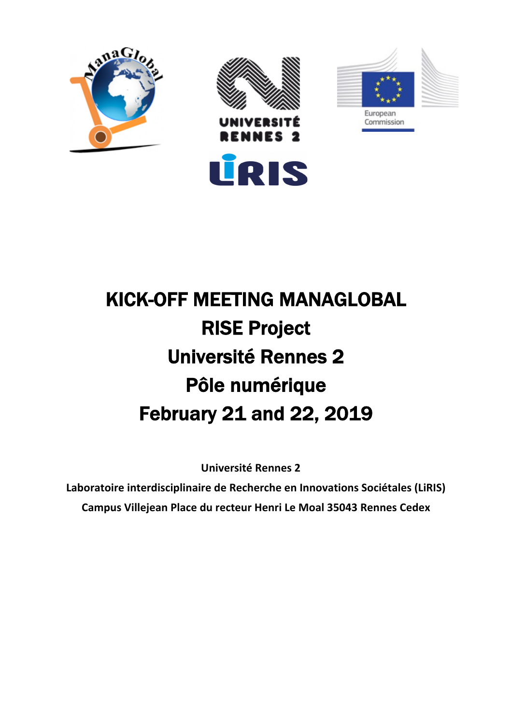







## KICK-OFF MEETING MANAGLOBAL RISE Project Université Rennes 2 Pôle numérique February 21 and 22, 2019

**Université Rennes 2**

**Laboratoire interdisciplinaire de Recherche en Innovations Sociétales (LiRIS) Campus Villejean Place du recteur Henri Le Moal 35043 Rennes Cedex**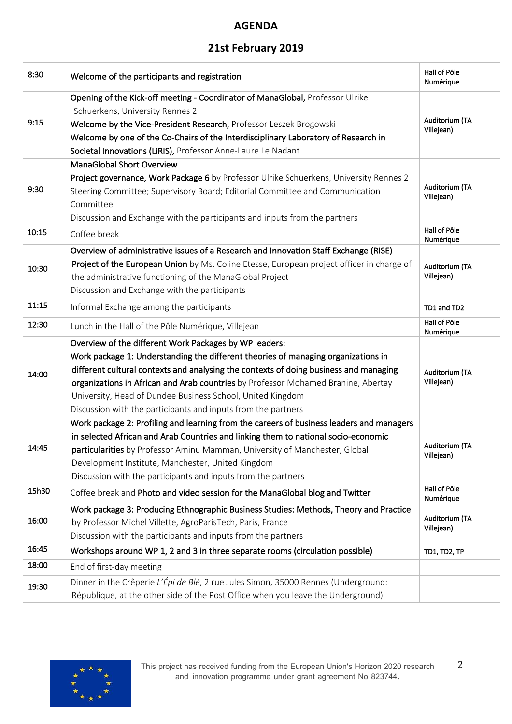## **AGENDA**

## **21st February 2019**

| 8:30  | Welcome of the participants and registration                                                                                                                                                                                                                                                                                                                                                                                                             | Hall of Pôle<br>Numérique    |
|-------|----------------------------------------------------------------------------------------------------------------------------------------------------------------------------------------------------------------------------------------------------------------------------------------------------------------------------------------------------------------------------------------------------------------------------------------------------------|------------------------------|
| 9:15  | Opening of the Kick-off meeting - Coordinator of ManaGlobal, Professor Ulrike<br>Schuerkens, University Rennes 2<br>Welcome by the Vice-President Research, Professor Leszek Brogowski<br>Welcome by one of the Co-Chairs of the Interdisciplinary Laboratory of Research in<br>Societal Innovations (LiRIS), Professor Anne-Laure Le Nadant                                                                                                             | Auditorium (TA<br>Villejean) |
| 9:30  | <b>ManaGlobal Short Overview</b><br>Project governance, Work Package 6 by Professor Ulrike Schuerkens, University Rennes 2<br>Steering Committee; Supervisory Board; Editorial Committee and Communication<br>Committee<br>Discussion and Exchange with the participants and inputs from the partners                                                                                                                                                    | Auditorium (TA<br>Villejean) |
| 10:15 | Coffee break                                                                                                                                                                                                                                                                                                                                                                                                                                             | Hall of Pôle<br>Numérique    |
| 10:30 | Overview of administrative issues of a Research and Innovation Staff Exchange (RISE)<br>Project of the European Union by Ms. Coline Etesse, European project officer in charge of<br>the administrative functioning of the ManaGlobal Project<br>Discussion and Exchange with the participants                                                                                                                                                           | Auditorium (TA<br>Villejean) |
| 11:15 | Informal Exchange among the participants                                                                                                                                                                                                                                                                                                                                                                                                                 | TD1 and TD2                  |
| 12:30 | Lunch in the Hall of the Pôle Numérique, Villejean                                                                                                                                                                                                                                                                                                                                                                                                       | Hall of Pôle<br>Numérique    |
| 14:00 | Overview of the different Work Packages by WP leaders:<br>Work package 1: Understanding the different theories of managing organizations in<br>different cultural contexts and analysing the contexts of doing business and managing<br>organizations in African and Arab countries by Professor Mohamed Branine, Abertay<br>University, Head of Dundee Business School, United Kingdom<br>Discussion with the participants and inputs from the partners | Auditorium (TA<br>Villejean) |
| 14:45 | Work package 2: Profiling and learning from the careers of business leaders and managers<br>in selected African and Arab Countries and linking them to national socio-economic<br>particularities by Professor Aminu Mamman, University of Manchester, Global<br>Development Institute, Manchester, United Kingdom<br>Discussion with the participants and inputs from the partners                                                                      | Auditorium (TA<br>Villejean) |
| 15h30 | Coffee break and Photo and video session for the ManaGlobal blog and Twitter                                                                                                                                                                                                                                                                                                                                                                             | Hall of Pôle<br>Numérique    |
| 16:00 | Work package 3: Producing Ethnographic Business Studies: Methods, Theory and Practice<br>by Professor Michel Villette, AgroParisTech, Paris, France<br>Discussion with the participants and inputs from the partners                                                                                                                                                                                                                                     | Auditorium (TA<br>Villejean) |
| 16:45 | Workshops around WP 1, 2 and 3 in three separate rooms (circulation possible)                                                                                                                                                                                                                                                                                                                                                                            | TD1, TD2, TP                 |
| 18:00 | End of first-day meeting                                                                                                                                                                                                                                                                                                                                                                                                                                 |                              |
| 19:30 | Dinner in the Crêperie L'Épi de Blé, 2 rue Jules Simon, 35000 Rennes (Underground:<br>République, at the other side of the Post Office when you leave the Underground)                                                                                                                                                                                                                                                                                   |                              |



2